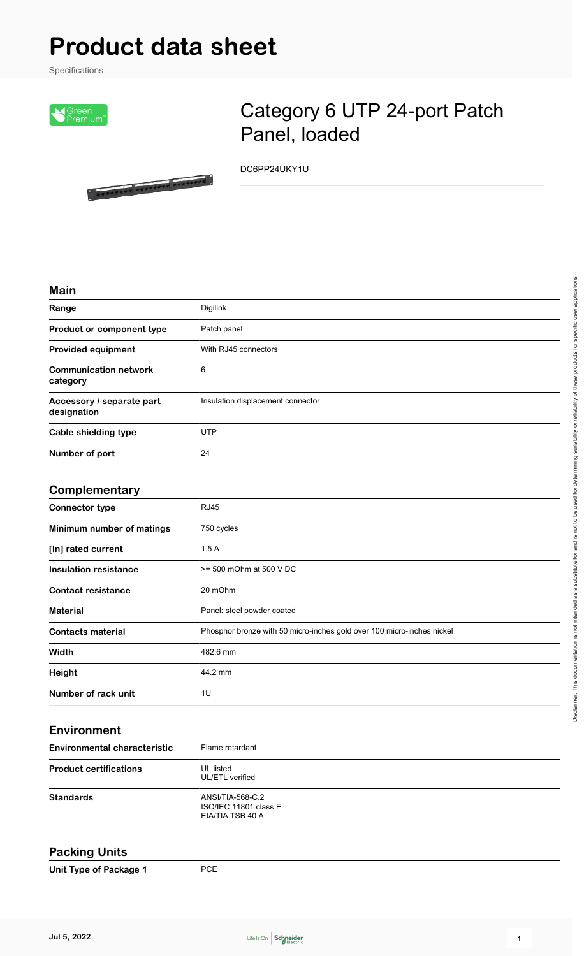# **Product data sheet**

**. ....... ....... ......** 

Specifications



## Category 6 UTP 24-port Patch Panel, loaded

DC6PP24UKY1U

#### **Main**

| Range                                    | <b>Digilink</b>                   |
|------------------------------------------|-----------------------------------|
| Product or component type                | Patch panel                       |
| <b>Provided equipment</b>                | With RJ45 connectors              |
| <b>Communication network</b><br>category | 6                                 |
| Accessory / separate part<br>designation | Insulation displacement connector |
| <b>Cable shielding type</b>              | <b>UTP</b>                        |
| Number of port                           | 24                                |

#### **Complementary**

| . <del>.</del> . <u>.</u> |                                                                        |
|---------------------------|------------------------------------------------------------------------|
| <b>Connector type</b>     | <b>RJ45</b>                                                            |
| Minimum number of matings | 750 cycles                                                             |
| [In] rated current        | 1.5A                                                                   |
| Insulation resistance     | $>= 500$ mOhm at 500 V DC                                              |
| <b>Contact resistance</b> | 20 mOhm                                                                |
| <b>Material</b>           | Panel: steel powder coated                                             |
| <b>Contacts material</b>  | Phosphor bronze with 50 micro-inches gold over 100 micro-inches nickel |
| Width                     | 482.6 mm                                                               |
| Height                    | 44.2 mm                                                                |
| Number of rack unit       | 1U                                                                     |
|                           |                                                                        |

#### **Environment**

| Flame retardant                                               |  |
|---------------------------------------------------------------|--|
| UL listed<br>UL/ETL verified                                  |  |
| ANSI/TIA-568-C.2<br>ISO/IEC 11801 class E<br>EIA/TIA TSB 40 A |  |
|                                                               |  |

#### **Packing Units**

**Unit Type of Package 1** PCE